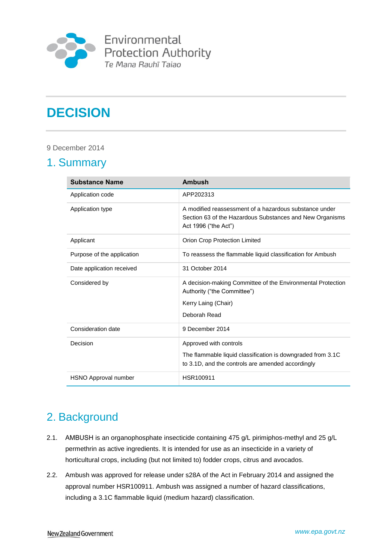

# **DECISION**

### 9 December 2014

# 1. Summary

| <b>Substance Name</b>      | Ambush                                                                                                                                     |
|----------------------------|--------------------------------------------------------------------------------------------------------------------------------------------|
| Application code           | APP202313                                                                                                                                  |
| Application type           | A modified reassessment of a hazardous substance under<br>Section 63 of the Hazardous Substances and New Organisms<br>Act 1996 ("the Act") |
| Applicant                  | Orion Crop Protection Limited                                                                                                              |
| Purpose of the application | To reassess the flammable liquid classification for Ambush                                                                                 |
| Date application received  | 31 October 2014                                                                                                                            |
| Considered by              | A decision-making Committee of the Environmental Protection<br>Authority ("the Committee")                                                 |
|                            | Kerry Laing (Chair)                                                                                                                        |
|                            | Deborah Read                                                                                                                               |
| Consideration date         | 9 December 2014                                                                                                                            |
| Decision                   | Approved with controls                                                                                                                     |
|                            | The flammable liquid classification is downgraded from 3.1C<br>to 3.1D, and the controls are amended accordingly                           |
| HSNO Approval number       | HSR100911                                                                                                                                  |

# 2. Background

- 2.1. AMBUSH is an organophosphate insecticide containing 475 g/L pirimiphos-methyl and 25 g/L permethrin as active ingredients. It is intended for use as an insecticide in a variety of horticultural crops, including (but not limited to) fodder crops, citrus and avocados.
- 2.2. Ambush was approved for release under s28A of the Act in February 2014 and assigned the approval number HSR100911. Ambush was assigned a number of hazard classifications, including a 3.1C flammable liquid (medium hazard) classification.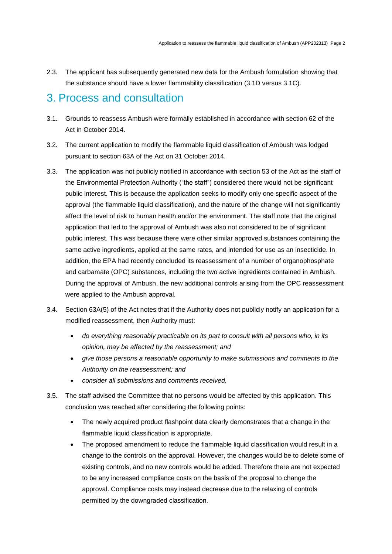2.3. The applicant has subsequently generated new data for the Ambush formulation showing that the substance should have a lower flammability classification (3.1D versus 3.1C).

# 3. Process and consultation

- 3.1. Grounds to reassess Ambush were formally established in accordance with section 62 of the Act in October 2014.
- 3.2. The current application to modify the flammable liquid classification of Ambush was lodged pursuant to section 63A of the Act on 31 October 2014.
- 3.3. The application was not publicly notified in accordance with section 53 of the Act as the staff of the Environmental Protection Authority ("the staff") considered there would not be significant public interest. This is because the application seeks to modify only one specific aspect of the approval (the flammable liquid classification), and the nature of the change will not significantly affect the level of risk to human health and/or the environment. The staff note that the original application that led to the approval of Ambush was also not considered to be of significant public interest. This was because there were other similar approved substances containing the same active ingredients, applied at the same rates, and intended for use as an insecticide. In addition, the EPA had recently concluded its reassessment of a number of organophosphate and carbamate (OPC) substances, including the two active ingredients contained in Ambush. During the approval of Ambush, the new additional controls arising from the OPC reassessment were applied to the Ambush approval.
- 3.4. Section 63A(5) of the Act notes that if the Authority does not publicly notify an application for a modified reassessment, then Authority must:
	- *do everything reasonably practicable on its part to consult with all persons who, in its opinion, may be affected by the reassessment; and*
	- *give those persons a reasonable opportunity to make submissions and comments to the Authority on the reassessment; and*
	- *consider all submissions and comments received.*
- 3.5. The staff advised the Committee that no persons would be affected by this application. This conclusion was reached after considering the following points:
	- The newly acquired product flashpoint data clearly demonstrates that a change in the flammable liquid classification is appropriate.
	- The proposed amendment to reduce the flammable liquid classification would result in a change to the controls on the approval. However, the changes would be to delete some of existing controls, and no new controls would be added. Therefore there are not expected to be any increased compliance costs on the basis of the proposal to change the approval. Compliance costs may instead decrease due to the relaxing of controls permitted by the downgraded classification.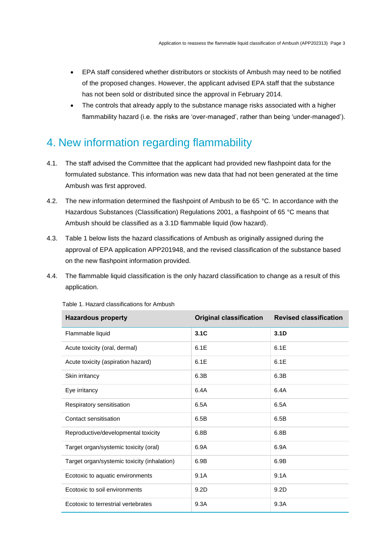- EPA staff considered whether distributors or stockists of Ambush may need to be notified of the proposed changes. However, the applicant advised EPA staff that the substance has not been sold or distributed since the approval in February 2014.
- The controls that already apply to the substance manage risks associated with a higher flammability hazard (i.e. the risks are 'over-managed', rather than being 'under-managed').

# 4. New information regarding flammability

- 4.1. The staff advised the Committee that the applicant had provided new flashpoint data for the formulated substance. This information was new data that had not been generated at the time Ambush was first approved.
- 4.2. The new information determined the flashpoint of Ambush to be 65 °C. In accordance with the Hazardous Substances (Classification) Regulations 2001, a flashpoint of 65 °C means that Ambush should be classified as a 3.1D flammable liquid (low hazard).
- 4.3. Table 1 below lists the hazard classifications of Ambush as originally assigned during the approval of EPA application APP201948, and the revised classification of the substance based on the new flashpoint information provided.
- 4.4. The flammable liquid classification is the only hazard classification to change as a result of this application.

| <b>Hazardous property</b>                   | <b>Original classification</b> | <b>Revised classification</b> |
|---------------------------------------------|--------------------------------|-------------------------------|
| Flammable liquid                            | 3.1C                           | 3.1 <sub>D</sub>              |
| Acute toxicity (oral, dermal)               | 6.1E                           | 6.1E                          |
| Acute toxicity (aspiration hazard)          | 6.1E                           | 6.1E                          |
| Skin irritancy                              | 6.3B                           | 6.3B                          |
| Eye irritancy                               | 6.4A                           | 6.4A                          |
| Respiratory sensitisation                   | 6.5A                           | 6.5A                          |
| Contact sensitisation                       | 6.5B                           | 6.5B                          |
| Reproductive/developmental toxicity         | 6.8B                           | 6.8B                          |
| Target organ/systemic toxicity (oral)       | 6.9A                           | 6.9A                          |
| Target organ/systemic toxicity (inhalation) | 6.9B                           | 6.9B                          |
| Ecotoxic to aquatic environments            | 9.1A                           | 9.1A                          |
| Ecotoxic to soil environments               | 9.2D                           | 9.2D                          |
| Ecotoxic to terrestrial vertebrates         | 9.3A                           | 9.3A                          |

Table 1. Hazard classifications for Ambush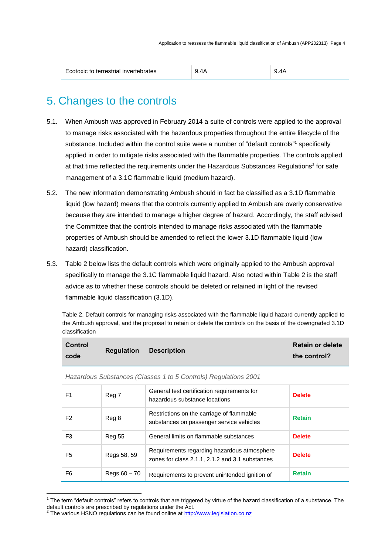| Ecotoxic to terrestrial invertebrates | 9.4A | 9.4A |
|---------------------------------------|------|------|
|---------------------------------------|------|------|

# 5. Changes to the controls

- 5.1. When Ambush was approved in February 2014 a suite of controls were applied to the approval to manage risks associated with the hazardous properties throughout the entire lifecycle of the substance. Included within the control suite were a number of "default controls"<sup>1</sup> specifically applied in order to mitigate risks associated with the flammable properties. The controls applied at that time reflected the requirements under the Hazardous Substances Regulations<sup>2</sup> for safe management of a 3.1C flammable liquid (medium hazard).
- 5.2. The new information demonstrating Ambush should in fact be classified as a 3.1D flammable liquid (low hazard) means that the controls currently applied to Ambush are overly conservative because they are intended to manage a higher degree of hazard. Accordingly, the staff advised the Committee that the controls intended to manage risks associated with the flammable properties of Ambush should be amended to reflect the lower 3.1D flammable liquid (low hazard) classification.
- 5.3. Table 2 below lists the default controls which were originally applied to the Ambush approval specifically to manage the 3.1C flammable liquid hazard. Also noted within Table 2 is the staff advice as to whether these controls should be deleted or retained in light of the revised flammable liquid classification (3.1D).

Table 2. Default controls for managing risks associated with the flammable liquid hazard currently applied to the Ambush approval, and the proposal to retain or delete the controls on the basis of the downgraded 3.1D classification

| <b>Control</b> | <b>Regulation</b> | <b>Description</b> | <b>Retain or delete</b> |
|----------------|-------------------|--------------------|-------------------------|
| code           |                   |                    | the control?            |

| F1             | Reg 7          | General test certification requirements for<br>hazardous substance locations                   | <b>Delete</b> |
|----------------|----------------|------------------------------------------------------------------------------------------------|---------------|
| F2             | Reg 8          | Restrictions on the carriage of flammable<br>substances on passenger service vehicles          | <b>Retain</b> |
| F3             | <b>Reg 55</b>  | General limits on flammable substances                                                         | <b>Delete</b> |
| F5             | Regs 58, 59    | Requirements regarding hazardous atmosphere<br>zones for class 2.1.1, 2.1.2 and 3.1 substances | <b>Delete</b> |
| F <sub>6</sub> | Regs $60 - 70$ | Requirements to prevent unintended ignition of                                                 | <b>Retain</b> |

*Hazardous Substances (Classes 1 to 5 Controls) Regulations 2001*

 $\overline{a}$ 

 $1$  The term "default controls" refers to controls that are triggered by virtue of the hazard classification of a substance. The default controls are prescribed by regulations under the Act.<br><sup>2</sup> The various HSNO regulations can be found online at <u>http://www.legislation.co.nz</u>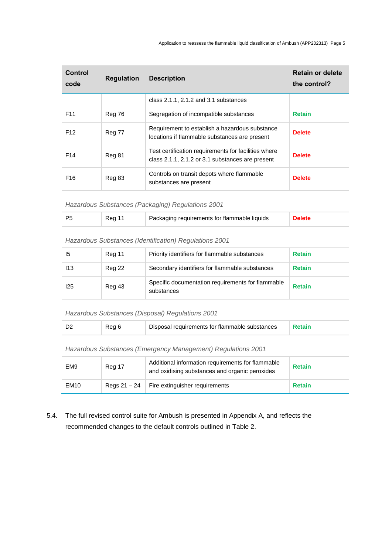| Control<br>code | <b>Regulation</b> | <b>Description</b>                                                                                       | <b>Retain or delete</b><br>the control? |
|-----------------|-------------------|----------------------------------------------------------------------------------------------------------|-----------------------------------------|
|                 |                   | class $2.1.1$ , $2.1.2$ and $3.1$ substances                                                             |                                         |
| F <sub>11</sub> | Reg 76            | Segregation of incompatible substances                                                                   | <b>Retain</b>                           |
| F <sub>12</sub> | Reg 77            | Requirement to establish a hazardous substance<br>locations if flammable substances are present          | <b>Delete</b>                           |
| F <sub>14</sub> | Reg 81            | Test certification requirements for facilities where<br>class 2.1.1, 2.1.2 or 3.1 substances are present | <b>Delete</b>                           |
| F <sub>16</sub> | Reg 83            | Controls on transit depots where flammable<br>substances are present                                     | <b>Delete</b>                           |

*Hazardous Substances (Packaging) Regulations 2001*

|  |  |  | Packaging requirements for flammable liquids |  |
|--|--|--|----------------------------------------------|--|
|--|--|--|----------------------------------------------|--|

### *Hazardous Substances (Identification) Regulations 2001*

| 15  | Reg 11 | Priority identifiers for flammable substances                   | <b>Retain</b> |
|-----|--------|-----------------------------------------------------------------|---------------|
| 113 | Reg 22 | Secondary identifiers for flammable substances                  | <b>Retain</b> |
| 125 | Reg 43 | Specific documentation requirements for flammable<br>substances | <b>Retain</b> |

*Hazardous Substances (Disposal) Regulations 2001*

|  | Rea 6 | Disposal requirements for flammable substances |  |
|--|-------|------------------------------------------------|--|
|--|-------|------------------------------------------------|--|

*Hazardous Substances (Emergency Management) Regulations 2001*

| EM <sub>9</sub>  | Reg 17 | Additional information requirements for flammable<br>and oxidising substances and organic peroxides | <b>Retain</b> |
|------------------|--------|-----------------------------------------------------------------------------------------------------|---------------|
| EM <sub>10</sub> |        | Regs $21 - 24$   Fire extinguisher requirements                                                     | <b>Retain</b> |

5.4. The full revised control suite for Ambush is presented in Appendix A, and reflects the recommended changes to the default controls outlined in Table 2.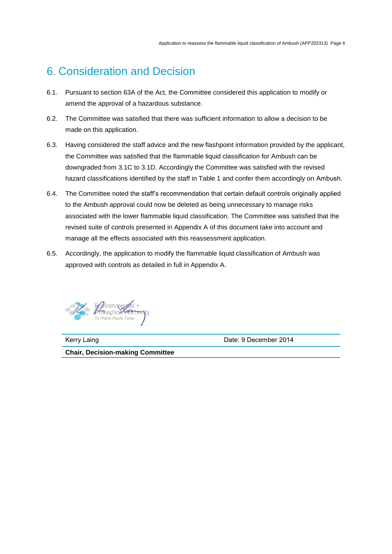# 6. Consideration and Decision

- 6.1. Pursuant to section 63A of the Act, the Committee considered this application to modify or amend the approval of a hazardous substance.
- 6.2. The Committee was satisfied that there was sufficient information to allow a decision to be made on this application.
- 6.3. Having considered the staff advice and the new flashpoint information provided by the applicant, the Committee was satisfied that the flammable liquid classification for Ambush can be downgraded from 3.1C to 3.1D. Accordingly the Committee was satisfied with the revised hazard classifications identified by the staff in Table 1 and confer them accordingly on Ambush.
- 6.4. The Committee noted the staff's recommendation that certain default controls originally applied to the Ambush approval could now be deleted as being unnecessary to manage risks associated with the lower flammable liquid classification. The Committee was satisfied that the revised suite of controls presented in Appendix A of this document take into account and manage all the effects associated with this reassessment application.
- 6.5. Accordingly, the application to modify the flammable liquid classification of Ambush was approved with controls as detailed in full in Appendix A.



Kerry Laing **Date: 9 December 2014** 

**Chair, Decision-making Committee**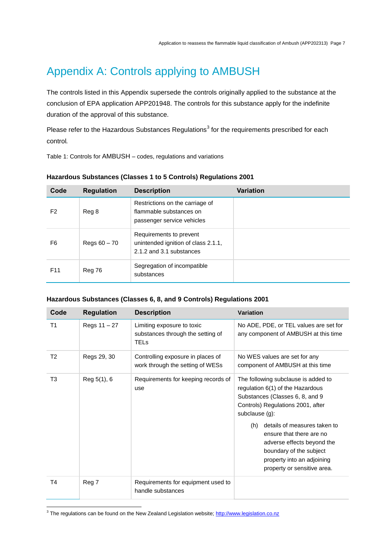# Appendix A: Controls applying to AMBUSH

The controls listed in this Appendix supersede the controls originally applied to the substance at the conclusion of EPA application APP201948. The controls for this substance apply for the indefinite duration of the approval of this substance.

Please refer to the Hazardous Substances Regulations<sup>3</sup> for the requirements prescribed for each control*.*

Table 1: Controls for AMBUSH – codes, regulations and variations

| Code            | <b>Regulation</b> | <b>Description</b>                                                                         | Variation |
|-----------------|-------------------|--------------------------------------------------------------------------------------------|-----------|
| F <sub>2</sub>  | Reg 8             | Restrictions on the carriage of<br>flammable substances on<br>passenger service vehicles   |           |
| F6              | Regs $60 - 70$    | Requirements to prevent<br>unintended ignition of class 2.1.1,<br>2.1.2 and 3.1 substances |           |
| F <sub>11</sub> | Reg 76            | Segregation of incompatible<br>substances                                                  |           |

### **Hazardous Substances (Classes 1 to 5 Controls) Regulations 2001**

### **Hazardous Substances (Classes 6, 8, and 9 Controls) Regulations 2001**

| Code           | <b>Regulation</b> | <b>Description</b>                                                             | <b>Variation</b>                                                                                                                                                                                                                                                                                                                                           |
|----------------|-------------------|--------------------------------------------------------------------------------|------------------------------------------------------------------------------------------------------------------------------------------------------------------------------------------------------------------------------------------------------------------------------------------------------------------------------------------------------------|
| T <sub>1</sub> | Regs 11 - 27      | Limiting exposure to toxic<br>substances through the setting of<br><b>TELs</b> | No ADE, PDE, or TEL values are set for<br>any component of AMBUSH at this time                                                                                                                                                                                                                                                                             |
| T <sub>2</sub> | Regs 29, 30       | Controlling exposure in places of<br>work through the setting of WESs          | No WES values are set for any<br>component of AMBUSH at this time                                                                                                                                                                                                                                                                                          |
| T <sub>3</sub> | Reg 5(1), 6       | Requirements for keeping records of<br>use                                     | The following subclause is added to<br>regulation 6(1) of the Hazardous<br>Substances (Classes 6, 8, and 9<br>Controls) Regulations 2001, after<br>subclause (g):<br>details of measures taken to<br>(h)<br>ensure that there are no<br>adverse effects beyond the<br>boundary of the subject<br>property into an adjoining<br>property or sensitive area. |
| T4             | Reg 7             | Requirements for equipment used to<br>handle substances                        |                                                                                                                                                                                                                                                                                                                                                            |

<sup>3</sup> The regulations can be found on the New Zealand Legislation website[; http://www.legislation.co.nz](http://www.legislation.co.nz/)

 $\overline{a}$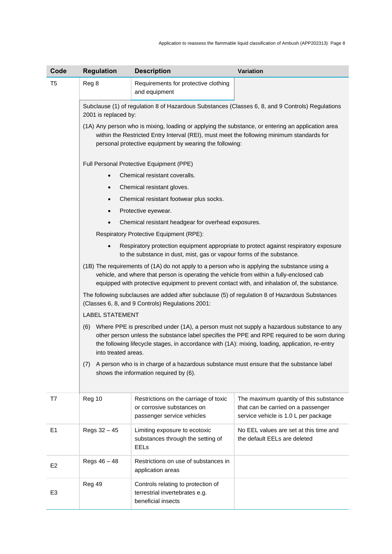| Code           | <b>Regulation</b>                                                                                                                                                                                                                                                                                                       | <b>Description</b>                                                                                                                                   | Variation                                                                                                            |  |  |
|----------------|-------------------------------------------------------------------------------------------------------------------------------------------------------------------------------------------------------------------------------------------------------------------------------------------------------------------------|------------------------------------------------------------------------------------------------------------------------------------------------------|----------------------------------------------------------------------------------------------------------------------|--|--|
| T5             | Reg 8                                                                                                                                                                                                                                                                                                                   | Requirements for protective clothing<br>and equipment                                                                                                |                                                                                                                      |  |  |
|                | 2001 is replaced by:                                                                                                                                                                                                                                                                                                    |                                                                                                                                                      | Subclause (1) of regulation 8 of Hazardous Substances (Classes 6, 8, and 9 Controls) Regulations                     |  |  |
|                |                                                                                                                                                                                                                                                                                                                         | within the Restricted Entry Interval (REI), must meet the following minimum standards for<br>personal protective equipment by wearing the following: | (1A) Any person who is mixing, loading or applying the substance, or entering an application area                    |  |  |
|                |                                                                                                                                                                                                                                                                                                                         | Full Personal Protective Equipment (PPE)                                                                                                             |                                                                                                                      |  |  |
|                | $\bullet$                                                                                                                                                                                                                                                                                                               | Chemical resistant coveralls.                                                                                                                        |                                                                                                                      |  |  |
|                | $\bullet$                                                                                                                                                                                                                                                                                                               | Chemical resistant gloves.                                                                                                                           |                                                                                                                      |  |  |
|                |                                                                                                                                                                                                                                                                                                                         | Chemical resistant footwear plus socks.                                                                                                              |                                                                                                                      |  |  |
|                |                                                                                                                                                                                                                                                                                                                         | Protective eyewear.                                                                                                                                  |                                                                                                                      |  |  |
|                |                                                                                                                                                                                                                                                                                                                         | Chemical resistant headgear for overhead exposures.                                                                                                  |                                                                                                                      |  |  |
|                |                                                                                                                                                                                                                                                                                                                         | Respiratory Protective Equipment (RPE):                                                                                                              |                                                                                                                      |  |  |
|                |                                                                                                                                                                                                                                                                                                                         | to the substance in dust, mist, gas or vapour forms of the substance.                                                                                | Respiratory protection equipment appropriate to protect against respiratory exposure                                 |  |  |
|                | (1B) The requirements of (1A) do not apply to a person who is applying the substance using a<br>vehicle, and where that person is operating the vehicle from within a fully-enclosed cab<br>equipped with protective equipment to prevent contact with, and inhalation of, the substance.                               |                                                                                                                                                      |                                                                                                                      |  |  |
|                | The following subclauses are added after subclause (5) of regulation 8 of Hazardous Substances<br>(Classes 6, 8, and 9 Controls) Regulations 2001:                                                                                                                                                                      |                                                                                                                                                      |                                                                                                                      |  |  |
|                | <b>LABEL STATEMENT</b>                                                                                                                                                                                                                                                                                                  |                                                                                                                                                      |                                                                                                                      |  |  |
|                | (6) Where PPE is prescribed under (1A), a person must not supply a hazardous substance to any<br>other person unless the substance label specifies the PPE and RPE required to be worn during<br>the following lifecycle stages, in accordance with (1A): mixing, loading, application, re-entry<br>into treated areas. |                                                                                                                                                      |                                                                                                                      |  |  |
|                | A person who is in charge of a hazardous substance must ensure that the substance label<br>(7)<br>shows the information required by (6).                                                                                                                                                                                |                                                                                                                                                      |                                                                                                                      |  |  |
| T7             | Reg 10                                                                                                                                                                                                                                                                                                                  | Restrictions on the carriage of toxic<br>or corrosive substances on<br>passenger service vehicles                                                    | The maximum quantity of this substance<br>that can be carried on a passenger<br>service vehicle is 1.0 L per package |  |  |
| E1             | Regs 32 - 45                                                                                                                                                                                                                                                                                                            | Limiting exposure to ecotoxic<br>substances through the setting of<br><b>EELs</b>                                                                    | No EEL values are set at this time and<br>the default EELs are deleted                                               |  |  |
| E <sub>2</sub> | Regs 46 - 48                                                                                                                                                                                                                                                                                                            | Restrictions on use of substances in<br>application areas                                                                                            |                                                                                                                      |  |  |
| E <sub>3</sub> | Reg 49                                                                                                                                                                                                                                                                                                                  | Controls relating to protection of<br>terrestrial invertebrates e.g.<br>beneficial insects                                                           |                                                                                                                      |  |  |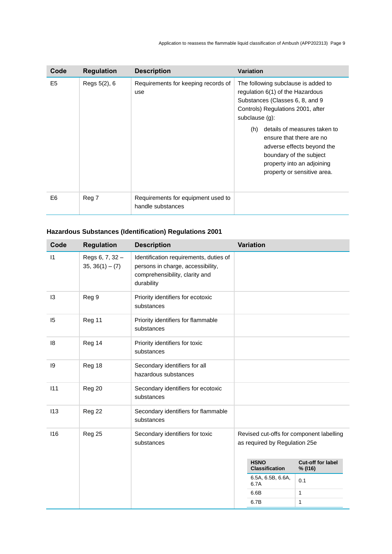| Code           | <b>Regulation</b> | <b>Description</b>                                      | <b>Variation</b>                                                                                                                                                                                                                                                                                                                                              |
|----------------|-------------------|---------------------------------------------------------|---------------------------------------------------------------------------------------------------------------------------------------------------------------------------------------------------------------------------------------------------------------------------------------------------------------------------------------------------------------|
| E <sub>5</sub> | Regs 5(2), 6      | Requirements for keeping records of<br>use              | The following subclause is added to<br>regulation 6(1) of the Hazardous<br>Substances (Classes 6, 8, and 9<br>Controls) Regulations 2001, after<br>subclause $(g)$ :<br>details of measures taken to<br>(h)<br>ensure that there are no<br>adverse effects beyond the<br>boundary of the subject<br>property into an adjoining<br>property or sensitive area. |
| E <sub>6</sub> | Reg 7             | Requirements for equipment used to<br>handle substances |                                                                                                                                                                                                                                                                                                                                                               |

## **Hazardous Substances (Identification) Regulations 2001**

| Code      | <b>Regulation</b>                    | <b>Description</b>                                                                                                          | <b>Variation</b>                     |                                          |
|-----------|--------------------------------------|-----------------------------------------------------------------------------------------------------------------------------|--------------------------------------|------------------------------------------|
| $\vert$ 1 | Regs 6, 7, 32 -<br>$35, 36(1) - (7)$ | Identification requirements, duties of<br>persons in charge, accessibility,<br>comprehensibility, clarity and<br>durability |                                      |                                          |
| 13        | Reg 9                                | Priority identifiers for ecotoxic<br>substances                                                                             |                                      |                                          |
| 15        | Reg 11                               | Priority identifiers for flammable<br>substances                                                                            |                                      |                                          |
| 18        | Reg 14                               | Priority identifiers for toxic<br>substances                                                                                |                                      |                                          |
| 9         | Reg 18                               | Secondary identifiers for all<br>hazardous substances                                                                       |                                      |                                          |
| 111       | Reg 20                               | Secondary identifiers for ecotoxic<br>substances                                                                            |                                      |                                          |
| 113       | Reg 22                               | Secondary identifiers for flammable<br>substances                                                                           |                                      |                                          |
| 116       | Reg 25                               | Secondary identifiers for toxic<br>substances                                                                               | as required by Regulation 25e        | Revised cut-offs for component labelling |
|           |                                      |                                                                                                                             | <b>HSNO</b><br><b>Classification</b> | Cut-off for label<br>% (I16)             |
|           |                                      |                                                                                                                             | 6.5A, 6.5B, 6.6A,<br>6.7A            | 0.1                                      |
|           |                                      |                                                                                                                             | 6.6B                                 | 1                                        |
|           |                                      |                                                                                                                             | 6.7B                                 | 1                                        |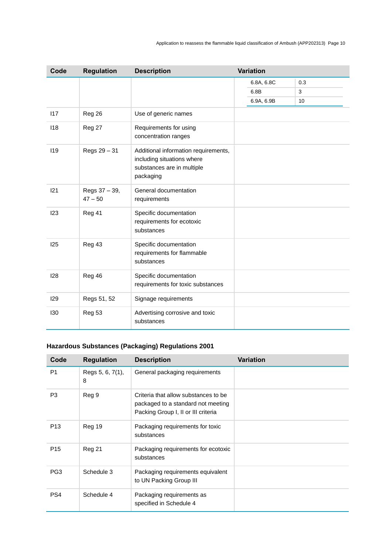| Code | <b>Regulation</b>          | <b>Description</b>                                                                                            | <b>Variation</b> |     |
|------|----------------------------|---------------------------------------------------------------------------------------------------------------|------------------|-----|
|      |                            |                                                                                                               | 6.8A, 6.8C       | 0.3 |
|      |                            |                                                                                                               | 6.8B             | 3   |
|      |                            |                                                                                                               | 6.9A, 6.9B       | 10  |
| 117  | Reg 26                     | Use of generic names                                                                                          |                  |     |
| 118  | Reg 27                     | Requirements for using<br>concentration ranges                                                                |                  |     |
| 119  | Regs 29 - 31               | Additional information requirements,<br>including situations where<br>substances are in multiple<br>packaging |                  |     |
| 121  | Regs 37 - 39,<br>$47 - 50$ | General documentation<br>requirements                                                                         |                  |     |
| 123  | Reg 41                     | Specific documentation<br>requirements for ecotoxic<br>substances                                             |                  |     |
| 125  | Reg 43                     | Specific documentation<br>requirements for flammable<br>substances                                            |                  |     |
| 128  | Reg 46                     | Specific documentation<br>requirements for toxic substances                                                   |                  |     |
| 129  | Regs 51, 52                | Signage requirements                                                                                          |                  |     |
| 130  | Reg 53                     | Advertising corrosive and toxic<br>substances                                                                 |                  |     |

# **Hazardous Substances (Packaging) Regulations 2001**

| Code            | <b>Regulation</b>     | <b>Description</b>                                                                                                | <b>Variation</b> |
|-----------------|-----------------------|-------------------------------------------------------------------------------------------------------------------|------------------|
| P <sub>1</sub>  | Regs 5, 6, 7(1),<br>8 | General packaging requirements                                                                                    |                  |
| P <sub>3</sub>  | Reg 9                 | Criteria that allow substances to be<br>packaged to a standard not meeting<br>Packing Group I, II or III criteria |                  |
| P <sub>13</sub> | Reg 19                | Packaging requirements for toxic<br>substances                                                                    |                  |
| P <sub>15</sub> | Reg 21                | Packaging requirements for ecotoxic<br>substances                                                                 |                  |
| PG <sub>3</sub> | Schedule 3            | Packaging requirements equivalent<br>to UN Packing Group III                                                      |                  |
| PS4             | Schedule 4            | Packaging requirements as<br>specified in Schedule 4                                                              |                  |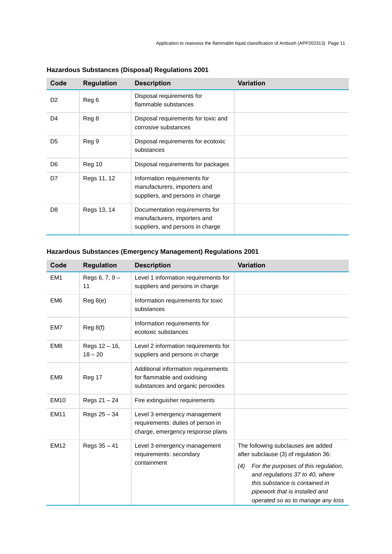| Code           | <b>Regulation</b> | <b>Description</b>                                                                                 | <b>Variation</b> |
|----------------|-------------------|----------------------------------------------------------------------------------------------------|------------------|
| D <sub>2</sub> | Reg 6             | Disposal requirements for<br>flammable substances                                                  |                  |
| D <sub>4</sub> | Reg 8             | Disposal requirements for toxic and<br>corrosive substances                                        |                  |
| D <sub>5</sub> | Reg 9             | Disposal requirements for ecotoxic<br>substances                                                   |                  |
| D <sub>6</sub> | Reg 10            | Disposal requirements for packages                                                                 |                  |
| D7             | Regs 11, 12       | Information requirements for<br>manufacturers, importers and<br>suppliers, and persons in charge   |                  |
| D <sub>8</sub> | Regs 13, 14       | Documentation requirements for<br>manufacturers, importers and<br>suppliers, and persons in charge |                  |

## **Hazardous Substances (Disposal) Regulations 2001**

## **Hazardous Substances (Emergency Management) Regulations 2001**

| Code            | <b>Regulation</b>          | <b>Description</b>                                                                                     | <b>Variation</b>                                                                                                                                                                                                                                                       |
|-----------------|----------------------------|--------------------------------------------------------------------------------------------------------|------------------------------------------------------------------------------------------------------------------------------------------------------------------------------------------------------------------------------------------------------------------------|
| EM <sub>1</sub> | Regs $6, 7, 9 -$<br>11     | Level 1 information requirements for<br>suppliers and persons in charge                                |                                                                                                                                                                                                                                                                        |
| EM <sub>6</sub> | Reg 8(e)                   | Information requirements for toxic<br>substances                                                       |                                                                                                                                                                                                                                                                        |
| EM7             | Reg 8(f)                   | Information requirements for<br>ecotoxic substances                                                    |                                                                                                                                                                                                                                                                        |
| EM <sub>8</sub> | Regs 12 - 16,<br>$18 - 20$ | Level 2 information requirements for<br>suppliers and persons in charge                                |                                                                                                                                                                                                                                                                        |
| EM <sub>9</sub> | Reg 17                     | Additional information requirements<br>for flammable and oxidising<br>substances and organic peroxides |                                                                                                                                                                                                                                                                        |
| <b>EM10</b>     | Regs 21 - 24               | Fire extinguisher requirements                                                                         |                                                                                                                                                                                                                                                                        |
| <b>EM11</b>     | Regs 25 - 34               | Level 3 emergency management<br>requirements: duties of person in<br>charge, emergency response plans  |                                                                                                                                                                                                                                                                        |
| <b>EM12</b>     | Regs $35 - 41$             | Level 3 emergency management<br>requirements: secondary<br>containment                                 | The following subclauses are added<br>after subclause (3) of regulation 36:<br>For the purposes of this regulation,<br>(4)<br>and regulations 37 to 40, where<br>this substance is contained in<br>pipework that is installed and<br>operated so as to manage any loss |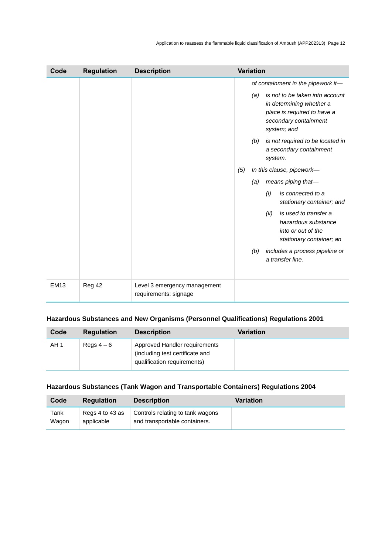| Code        | <b>Regulation</b> | <b>Description</b>                                    |     | <b>Variation</b>                                                                                                                          |
|-------------|-------------------|-------------------------------------------------------|-----|-------------------------------------------------------------------------------------------------------------------------------------------|
|             |                   |                                                       |     | of containment in the pipework it-                                                                                                        |
|             |                   |                                                       |     | is not to be taken into account<br>(a)<br>in determining whether a<br>place is required to have a<br>secondary containment<br>system; and |
|             |                   |                                                       |     | is not required to be located in<br>(b)<br>a secondary containment<br>system.                                                             |
|             |                   |                                                       | (5) | In this clause, pipework-                                                                                                                 |
|             |                   |                                                       |     | means piping that-<br>(a)                                                                                                                 |
|             |                   |                                                       |     | is connected to a<br>(i)<br>stationary container; and                                                                                     |
|             |                   |                                                       |     | is used to transfer a<br>(ii)<br>hazardous substance<br>into or out of the<br>stationary container; an                                    |
|             |                   |                                                       |     | includes a process pipeline or<br>(b)<br>a transfer line.                                                                                 |
| <b>EM13</b> | Reg 42            | Level 3 emergency management<br>requirements: signage |     |                                                                                                                                           |

## **Hazardous Substances and New Organisms (Personnel Qualifications) Regulations 2001**

| Code | <b>Regulation</b> | <b>Description</b>                                                                              | <b>Variation</b> |
|------|-------------------|-------------------------------------------------------------------------------------------------|------------------|
| AH 1 | Regs $4-6$        | Approved Handler requirements<br>(including test certificate and<br>qualification requirements) |                  |

### **Hazardous Substances (Tank Wagon and Transportable Containers) Regulations 2004**

| Code  | <b>Regulation</b> | <b>Description</b>               | Variation |
|-------|-------------------|----------------------------------|-----------|
| Tank  | Regs 4 to 43 as   | Controls relating to tank wagons |           |
| Wagon | applicable        | and transportable containers.    |           |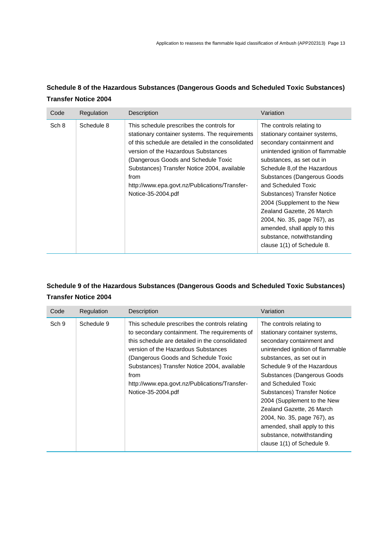## **Schedule 8 of the Hazardous Substances (Dangerous Goods and Scheduled Toxic Substances) Transfer Notice 2004**

| Code  | Regulation | Description                                                                                                                                                                                                                                                                                                                                                  | Variation                                                                                                                                                                                                                                                                                                                                                                                                                                                          |
|-------|------------|--------------------------------------------------------------------------------------------------------------------------------------------------------------------------------------------------------------------------------------------------------------------------------------------------------------------------------------------------------------|--------------------------------------------------------------------------------------------------------------------------------------------------------------------------------------------------------------------------------------------------------------------------------------------------------------------------------------------------------------------------------------------------------------------------------------------------------------------|
| Sch 8 | Schedule 8 | This schedule prescribes the controls for<br>stationary container systems. The requirements<br>of this schedule are detailed in the consolidated<br>version of the Hazardous Substances<br>(Dangerous Goods and Schedule Toxic<br>Substances) Transfer Notice 2004, available<br>from<br>http://www.epa.govt.nz/Publications/Transfer-<br>Notice-35-2004.pdf | The controls relating to<br>stationary container systems,<br>secondary containment and<br>unintended ignition of flammable<br>substances, as set out in<br>Schedule 8.of the Hazardous<br>Substances (Dangerous Goods<br>and Scheduled Toxic<br>Substances) Transfer Notice<br>2004 (Supplement to the New<br>Zealand Gazette, 26 March<br>2004, No. 35, page 767), as<br>amended, shall apply to this<br>substance, notwithstanding<br>clause 1(1) of Schedule 8. |

## **Schedule 9 of the Hazardous Substances (Dangerous Goods and Scheduled Toxic Substances) Transfer Notice 2004**

| Code  | Regulation | Description                                                                                                                                                                                                                                                                                                                                                   | Variation                                                                                                                                                                                                                                                                                                                                                                                                                                                           |
|-------|------------|---------------------------------------------------------------------------------------------------------------------------------------------------------------------------------------------------------------------------------------------------------------------------------------------------------------------------------------------------------------|---------------------------------------------------------------------------------------------------------------------------------------------------------------------------------------------------------------------------------------------------------------------------------------------------------------------------------------------------------------------------------------------------------------------------------------------------------------------|
| Sch 9 | Schedule 9 | This schedule prescribes the controls relating<br>to secondary containment. The requirements of<br>this schedule are detailed in the consolidated<br>version of the Hazardous Substances<br>(Dangerous Goods and Schedule Toxic<br>Substances) Transfer Notice 2004, available<br>from<br>http://www.epa.govt.nz/Publications/Transfer-<br>Notice-35-2004.pdf | The controls relating to<br>stationary container systems,<br>secondary containment and<br>unintended ignition of flammable<br>substances, as set out in<br>Schedule 9 of the Hazardous<br>Substances (Dangerous Goods)<br>and Scheduled Toxic<br>Substances) Transfer Notice<br>2004 (Supplement to the New<br>Zealand Gazette, 26 March<br>2004, No. 35, page 767), as<br>amended, shall apply to this<br>substance, notwithstanding<br>clause 1(1) of Schedule 9. |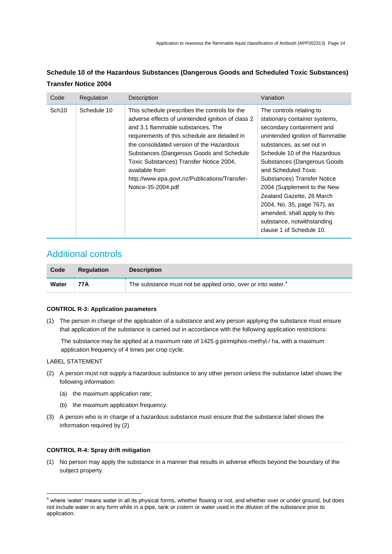| Code              | Regulation  | Description                                                                                                                                                                                                                                                                                                                                                                                                           | Variation                                                                                                                                                                                                                                                                                                                                                                                                                                                         |
|-------------------|-------------|-----------------------------------------------------------------------------------------------------------------------------------------------------------------------------------------------------------------------------------------------------------------------------------------------------------------------------------------------------------------------------------------------------------------------|-------------------------------------------------------------------------------------------------------------------------------------------------------------------------------------------------------------------------------------------------------------------------------------------------------------------------------------------------------------------------------------------------------------------------------------------------------------------|
| Sch <sub>10</sub> | Schedule 10 | This schedule prescribes the controls for the<br>adverse effects of unintended ignition of class 2<br>and 3.1 flammable substances. The<br>requirements of this schedule are detailed in<br>the consolidated version of the Hazardous<br>Substances (Dangerous Goods and Schedule<br>Toxic Substances) Transfer Notice 2004,<br>available from<br>http://www.epa.govt.nz/Publications/Transfer-<br>Notice-35-2004.pdf | The controls relating to<br>stationary container systems,<br>secondary containment and<br>unintended ignition of flammable<br>substances, as set out in<br>Schedule 10 of the Hazardous<br>Substances (Dangerous Goods<br>and Scheduled Toxic<br>Substances) Transfer Notice<br>2004 (Supplement to the New<br>Zealand Gazette, 26 March<br>2004, No. 35, page 767), as<br>amended, shall apply to this<br>substance, notwithstanding<br>clause 1 of Schedule 10. |

### **Schedule 10 of the Hazardous Substances (Dangerous Goods and Scheduled Toxic Substances) Transfer Notice 2004**

# Additional controls

| Code  | <b>Regulation</b> | <b>Description</b>                                                       |  |
|-------|-------------------|--------------------------------------------------------------------------|--|
| Water | 77A               | The substance must not be applied onto, over or into water. <sup>4</sup> |  |

### **CONTROL R-3: Application parameters**

(1) The person in charge of the application of a substance and any person applying the substance must ensure that application of the substance is carried out in accordance with the following application restrictions:

The substance may be applied at a maximum rate of 1425 g pirimiphos-methyl / ha, with a maximum application frequency of 4 times per crop cycle.

### LABEL STATEMENT

- (2) A person must not supply a hazardous substance to any other person unless the substance label shows the following information:
	- (a) the maximum application rate;
	- (b) the maximum application frequency.
- (3) A person who is in charge of a hazardous substance must ensure that the substance label shows the information required by (2).

### **CONTROL R-4: Spray drift mitigation**

(1) No person may apply the substance in a manner that results in adverse effects beyond the boundary of the subject property.

 $\overline{a}$ <sup>4</sup> where 'water' means water in all its physical forms, whether flowing or not, and whether over or under ground, but does not include water in any form while in a pipe, tank or cistern or water used in the dilution of the substance prior to application.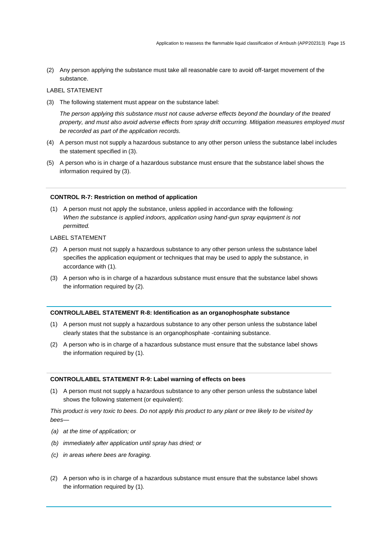(2) Any person applying the substance must take all reasonable care to avoid off-target movement of the substance.

### LABEL STATEMENT

(3) The following statement must appear on the substance label:

*The person applying this substance must not cause adverse effects beyond the boundary of the treated property, and must also avoid adverse effects from spray drift occurring. Mitigation measures employed must be recorded as part of the application records.*

- (4) A person must not supply a hazardous substance to any other person unless the substance label includes the statement specified in (3).
- (5) A person who is in charge of a hazardous substance must ensure that the substance label shows the information required by (3).

### **CONTROL R-7: Restriction on method of application**

(1) A person must not apply the substance, unless applied in accordance with the following: When the substance is applied indoors, application using hand-gun spray equipment is not *permitted.*

### LABEL STATEMENT

- (2) A person must not supply a hazardous substance to any other person unless the substance label specifies the application equipment or techniques that may be used to apply the substance, in accordance with (1).
- (3) A person who is in charge of a hazardous substance must ensure that the substance label shows the information required by (2).

#### **CONTROL/LABEL STATEMENT R-8: Identification as an organophosphate substance**

- (1) A person must not supply a hazardous substance to any other person unless the substance label clearly states that the substance is an organophosphate -containing substance.
- (2) A person who is in charge of a hazardous substance must ensure that the substance label shows the information required by (1).

### **CONTROL/LABEL STATEMENT R-9: Label warning of effects on bees**

(1) A person must not supply a hazardous substance to any other person unless the substance label shows the following statement (or equivalent):

*This product is very toxic to bees. Do not apply this product to any plant or tree likely to be visited by bees—*

- *(a) at the time of application; or*
- *(b) immediately after application until spray has dried; or*
- *(c) in areas where bees are foraging.*
- (2) A person who is in charge of a hazardous substance must ensure that the substance label shows the information required by (1).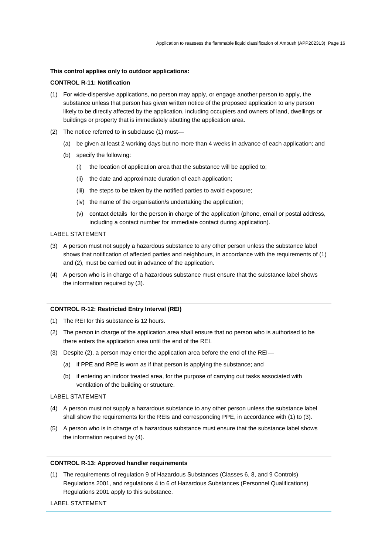### **This control applies only to outdoor applications:**

### **CONTROL R-11: Notification**

- (1) For wide-dispersive applications, no person may apply, or engage another person to apply, the substance unless that person has given written notice of the proposed application to any person likely to be directly affected by the application, including occupiers and owners of land, dwellings or buildings or property that is immediately abutting the application area.
- (2) The notice referred to in subclause (1) must—
	- (a) be given at least 2 working days but no more than 4 weeks in advance of each application; and
	- (b) specify the following:
		- (i) the location of application area that the substance will be applied to;
		- (ii) the date and approximate duration of each application;
		- (iii) the steps to be taken by the notified parties to avoid exposure;
		- (iv) the name of the organisation/s undertaking the application;
		- (v) contact details for the person in charge of the application (phone, email or postal address, including a contact number for immediate contact during application).

### LABEL STATEMENT

- (3) A person must not supply a hazardous substance to any other person unless the substance label shows that notification of affected parties and neighbours, in accordance with the requirements of (1) and (2), must be carried out in advance of the application.
- (4) A person who is in charge of a hazardous substance must ensure that the substance label shows the information required by (3).

#### **CONTROL R-12: Restricted Entry Interval (REI)**

- (1) The REI for this substance is 12 hours.
- (2) The person in charge of the application area shall ensure that no person who is authorised to be there enters the application area until the end of the REI.
- (3) Despite (2), a person may enter the application area before the end of the REI—
	- (a) if PPE and RPE is worn as if that person is applying the substance; and
	- (b) if entering an indoor treated area, for the purpose of carrying out tasks associated with ventilation of the building or structure.

#### LABEL STATEMENT

- (4) A person must not supply a hazardous substance to any other person unless the substance label shall show the requirements for the REIs and corresponding PPE, in accordance with (1) to (3).
- (5) A person who is in charge of a hazardous substance must ensure that the substance label shows the information required by (4).

### **CONTROL R-13: Approved handler requirements**

(1) The requirements of regulation 9 of Hazardous Substances (Classes 6, 8, and 9 Controls) Regulations 2001, and regulations 4 to 6 of Hazardous Substances (Personnel Qualifications) Regulations 2001 apply to this substance.

LABEL STATEMENT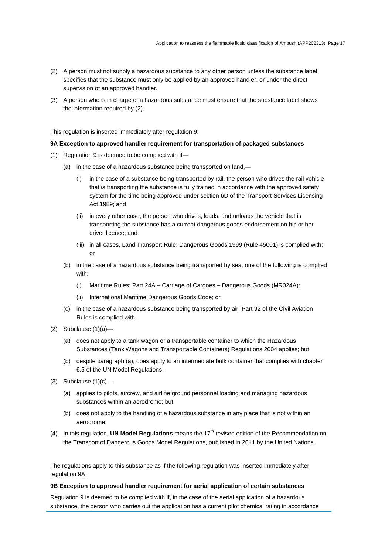- (2) A person must not supply a hazardous substance to any other person unless the substance label specifies that the substance must only be applied by an approved handler, or under the direct supervision of an approved handler.
- (3) A person who is in charge of a hazardous substance must ensure that the substance label shows the information required by (2).

This regulation is inserted immediately after regulation 9:

### **9A Exception to approved handler requirement for transportation of packaged substances**

- (1) Regulation 9 is deemed to be complied with if—
	- (a) in the case of a hazardous substance being transported on land,—
		- (i) in the case of a substance being transported by rail, the person who drives the rail vehicle that is transporting the substance is fully trained in accordance with the approved safety system for the time being approved under section 6D of the Transport Services Licensing Act 1989; and
		- (ii) in every other case, the person who drives, loads, and unloads the vehicle that is transporting the substance has a current dangerous goods endorsement on his or her driver licence; and
		- (iii) in all cases, Land Transport Rule: Dangerous Goods 1999 (Rule 45001) is complied with; or
	- (b) in the case of a hazardous substance being transported by sea, one of the following is complied with:
		- (i) Maritime Rules: Part 24A Carriage of Cargoes Dangerous Goods (MR024A):
		- (ii) International Maritime Dangerous Goods Code; or
	- (c) in the case of a hazardous substance being transported by air, Part 92 of the Civil Aviation Rules is complied with.
- (2) Subclause (1)(a)—
	- (a) does not apply to a tank wagon or a transportable container to which the Hazardous Substances (Tank Wagons and Transportable Containers) Regulations 2004 applies; but
	- (b) despite paragraph (a), does apply to an intermediate bulk container that complies with chapter 6.5 of the UN Model Regulations.
- $(3)$  Subclause  $(1)(c)$ 
	- (a) applies to pilots, aircrew, and airline ground personnel loading and managing hazardous substances within an aerodrome; but
	- (b) does not apply to the handling of a hazardous substance in any place that is not within an aerodrome.
- (4) In this regulation, **UN Model Regulations** means the 17<sup>th</sup> revised edition of the Recommendation on the Transport of Dangerous Goods Model Regulations, published in 2011 by the United Nations.

The regulations apply to this substance as if the following regulation was inserted immediately after regulation 9A:

### **9B Exception to approved handler requirement for aerial application of certain substances**

Regulation 9 is deemed to be complied with if, in the case of the aerial application of a hazardous substance, the person who carries out the application has a current pilot chemical rating in accordance